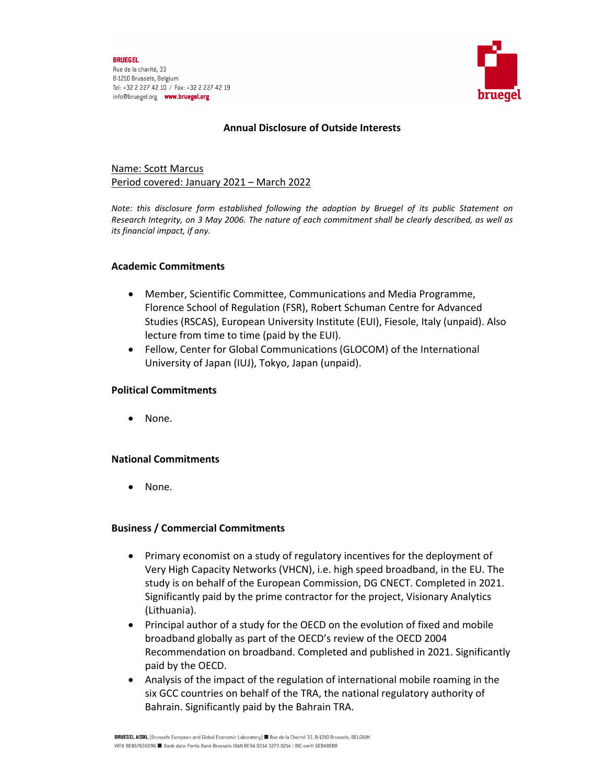

## **Annual Disclosure of Outside Interests**

# Name: Scott Marcus Period covered: January 2021 – March 2022

*Note: this disclosure form established following the adoption by Bruegel of its public Statement on* Research Integrity, on 3 May 2006. The nature of each commitment shall be clearly described, as well as *its financial impact, if any.* 

## **Academic Commitments**

- Member, Scientific Committee, Communications and Media Programme, Florence School of Regulation (FSR), Robert Schuman Centre for Advanced Studies (RSCAS), European University Institute (EUI), Fiesole, Italy (unpaid). Also lecture from time to time (paid by the EUI).
- Fellow, Center for Global Communications (GLOCOM) of the International University of Japan (IUJ), Tokyo, Japan (unpaid).

## **Political Commitments**

None.

## **National Commitments**

• None.

## **Business / Commercial Commitments**

- Primary economist on a study of regulatory incentives for the deployment of Very High Capacity Networks (VHCN), i.e. high speed broadband, in the EU. The study is on behalf of the European Commission, DG CNECT. Completed in 2021. Significantly paid by the prime contractor for the project, Visionary Analytics (Lithuania).
- Principal author of a study for the OECD on the evolution of fixed and mobile broadband globally as part of the OECD's review of the OECD 2004 Recommendation on broadband. Completed and published in 2021. Significantly paid by the OECD.
- Analysis of the impact of the regulation of international mobile roaming in the six GCC countries on behalf of the TRA, the national regulatory authority of Bahrain. Significantly paid by the Bahrain TRA.